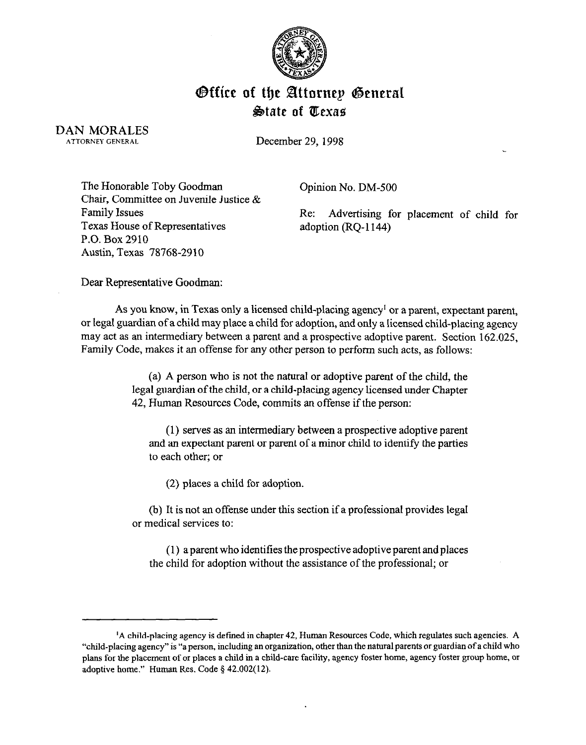

## Office of the Attorney General **&ate of ZEexae**

DAN MORALES ATTORNEY GENERAL

December 29. 1998

The Honorable Toby Goodman Chair, Committee on Juvenile Justice & Family Issues Texas House of Representatives P.O. Box 2910 Austin, Texas 78768-2910

Opinion No. DM-500

Re: Advertising for placement of child for adoption (RQ-1144)

Dear Representative Goodman:

As you know, in Texas only a licensed child-placing agency' or a parent, expectant parent, or legal guardian of a child may place a child for adoption, and only a licensed child-placing agency may act as an intermediary between a parent and a prospective adoptive parent. Section 162.025, Family Code, makes it an offense for any other person to perform such acts, as follows:

> (a) A person who is not the natural or adoptive parent of the child, the legal guardian of the child, or a child-placing agency licensed under Chapter 42, Human Resources Code, commits an offense if the person:

(1) serves as an intermediary between a prospective adoptive parent and an expectant parent or parent of a minor child to identify the parties to each other; or

(2) places a child for adoption.

(b) It is not an offense under this section if a professional provides legal or medical services to:

(1) a parent who identities the prospective adoptive parent and places the child for adoption without the assistance of the professional; or

<sup>&</sup>lt;sup>1</sup>A child-placing agency is defined in chapter 42, Human Resources Code, which regulates such agencies. A "child-placing agency" is "a person, including an organization, other than the natural parents or guardian of a chi "child-placing agency" is "a person, including an organization, other than the nahxal parents 01 guardian of a child who plans for the placement of 01 places a child in a child-care facility, agency foster home, agency foster group home, 01 adoptive home." Human Res. Code § 42.002(12).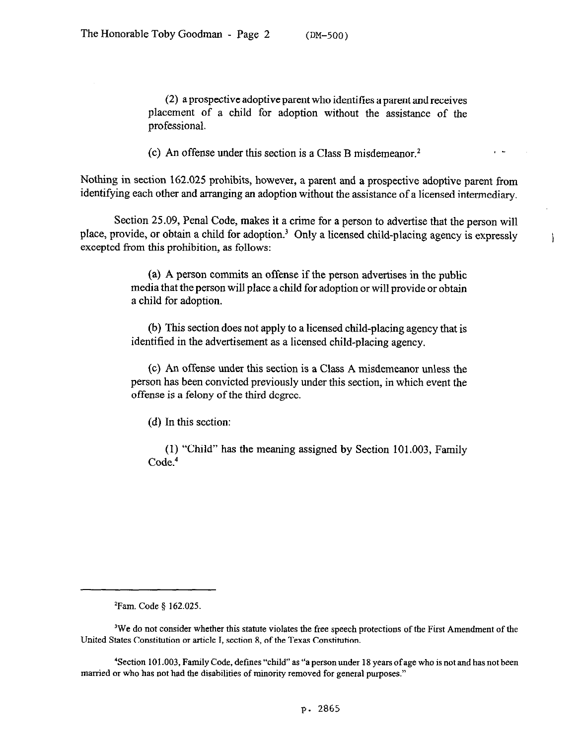(2) a prospective adoptive parent who identities a parent and receives placement of a child for adoption without the assistance of the professional.

(c) An offense under this section is a Class B misdemeanor.<sup>2</sup>

Nothing in section 162.025 prohibits, however, a parent and a prospective adoptive parent from identifying each other and arranging an adoption without the assistance of a licensed intermediary.

Section 25.09, Penal Code, makes it a crime for a person to advertise that the person will place, provide, or obtain a child for adoption.<sup>3</sup> Only a licensed child-placing agency is expressly excepted from this prohibition, as follows:

> (a) A person commits an offense if the person advertises in the public media that the person will place a child for adoption or will provide or obtain a child for adoption.

> (b) This section does not apply to a licensed child-placing agency that is identified in the advertisement as a licensed child-placing agency.

> (c) An offense under this section is a Class A misdemeanor unless the person has been convicted previously under this section, in which event the offense is a felony of the third degree.

(d) In this section:

(1) "Child" has the meaning assigned by Section 101.003, Family Code.<sup>4</sup>

 $2$ Fam. Code § 162.025.

<sup>&#</sup>x27;We do not consider whether this statute violates the free speech protections of the First Amendment of the United States Constitution or article I, section 8, of the Texas Constitution.

<sup>&#</sup>x27;Section 101.003, Family Code, defmes "child" as "a person under 18 years of age who is not and has not been married or who has not had the disabilities of minority removed for general purposes."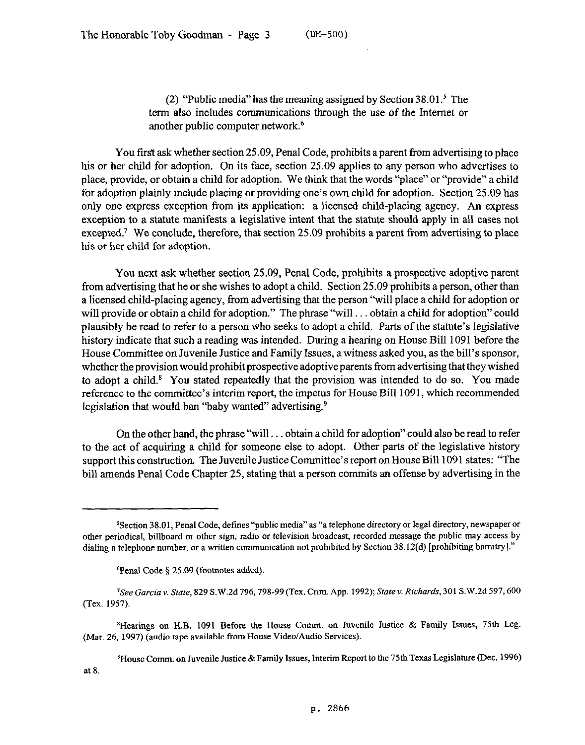(2) "Public media" has the meaning assigned by Section  $38.01$ .<sup>5</sup> The term also includes communications through the use of the Internet or another public computer network.6

You first ask whether section 25.09, Penal Code, prohibits a parent from advertising to place his or her child for adoption. On its face, section 25.09 applies to any person who advertises to place, provide, or obtain a child for adoption. We think that the words "place" or "provide" a child for adoption plainly include placing or providing one's own child for adoption. Section 25.09 has only one express exception from its application: a licensed child-placing agency. An express exception to a statute manifests a legislative intent that the statute should apply in all cases not excepted.<sup>7</sup> We conclude, therefore, that section 25.09 prohibits a parent from advertising to place his or her child for adoption.

You next ask whether section 25.09, Penal Code, prohibits a prospective adoptive parent from advertising that he or she wishes to adopt a child. Section 25.09 prohibits a person, other than a licensed child-placing agency, from advertising that the person "will place a child for adoption or will provide or obtain a child for adoption." The phrase "will... obtain a child for adoption" could plausibly be read to refer to a person who seeks to adopt a child. Parts of the statute's legislative history indicate that such a reading was intended. During a hearing on House Bill 1091 before the House Committee on Juvenile Justice and Family Issues, a witness asked you, as the bill's sponsor, whether the provision would prohibit prospective adoptive parents from advertising that they wished to adopt a child.<sup>8</sup> You stated repeatedly that the provision was intended to do so. You made reference to the committee's interim report, the impetus for House Bill 1091, which recommended legislation that would ban "baby wanted" advertising.<sup>9</sup>

On the other hand, the phrase "will... obtain a child for adoption" could also be read to refer to the act of acquiring a child for someone else to adopt. Other parts of the legislative history support this construction. The Juvenile Justice Committee's report on House Bill 1091 states: "The bill amends Penal Code Chapter 25, stating that a person commits an offense by advertising in the

'House Comm. on Juvenile Justice &Family Issues, Interim Report to the 75th Texas Legislature (Dec. 1996) at 8.

<sup>5</sup>Section 38.01, Penal Code, defmes "public media" as "a telephone directory or legal directory, newspaper or other periodical, billboard or other sign, radio or television broadcast, recorded message the public may access by dialing a telephone number, or a written communication not prohibited by Section 38.12(d) [prohibiting barratry]."

<sup>&</sup>lt;sup>6</sup>Penal Code § 25.09 (footnotes added).

<sup>&#</sup>x27;See *Garcia* v. Sfate, 829 S.W.Zd 796,798-99 (Tex. Grim. App. 1992); *State v. Richards,* 301 S.W.2d 597,600 (Tex. 1957).

<sup>&</sup>lt;sup>8</sup>Hearings on H.B. 1091 Before the House Comm. on Juvenile Justice & Family Issues, 75th Leg. (Mar. 26, 1997) (audio tape available from House Video/Audio Services).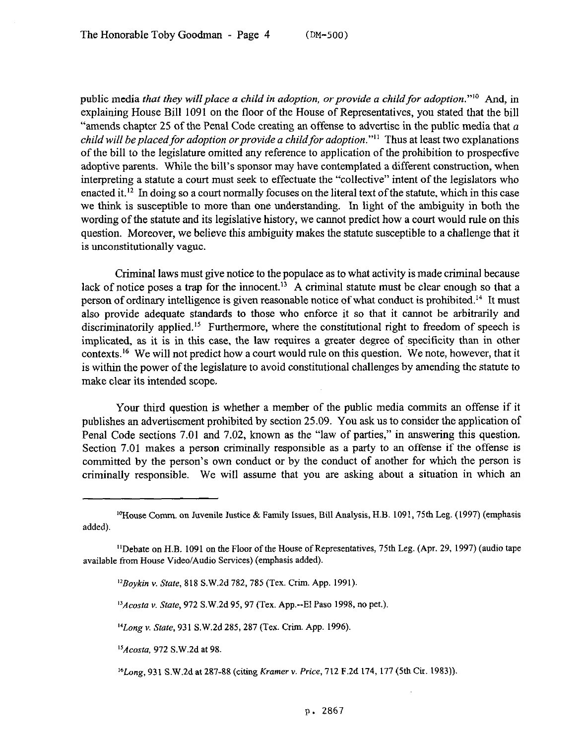public media *that they will place a child in adoption, or provide a child for adoption*."<sup>10</sup> And, in explaining House Bill 1091 on the floor of the House of Representatives, you stated that the bill "amends chapter 25 of the Penal Code creating an offense to advertise in the public media that  $a$ *child will be placed for adoption or provide a child for adoption."<sup>11</sup> Thus at least two explanations* of the bill to the legislature omitted any reference to application of the prohibition to prospective adoptive parents. While the bill's sponsor may have contemplated a different construction, when interpreting a statute a court must seek to effectuate the "collective" intent of the legislators who enacted it.<sup>12</sup> In doing so a court normally focuses on the literal text of the statute, which in this case we think is susceptible to more than one understanding. In light of the ambiguity in both the wording of the statute and its legislative history, we cannot predict how a court would rule on this question. Moreover, we believe this ambiguity makes the statute susceptible to a challenge that it is unconstitutionally vague.

Criminal laws must give notice to the populace as to what activity is made criminal because lack of notice poses a trap for the innocent.<sup>13</sup> A criminal statute must be clear enough so that a person of ordinary intelligence is given reasonable notice of what conduct is prohibited.<sup>14</sup> It must also provide adequate standards to those who enforce it so that it cannot be arbitrarily and discriminatorily applied.<sup>15</sup> Furthermore, where the constitutional right to freedom of speech is implicated, as it is in this case, the law requires a greater degree of specificity than in other contexts.'6 We will not predict how a court would rule on this question. We note, however, that it is within the power of the legislature to avoid constitutional challenges by amending the statute to make clear its intended scope.

Your third question is whether a member of the public media commits an offense if it publishes an advertisement prohibited by section 25.09. You ask us to consider the application of Penal Code sections 7.01 and 7.02, known as the "law of parties," in answering this question. Section 7.01 makes a person criminally responsible as a party to an offense if the offense is committed by the person's own conduct or by the conduct of another for which the person is criminally responsible. We will assume that you are asking about a situation in which an

*"Acosta* v. State, 972 S.W.2d 95, 97 (Tex. App.--El Paso 1998, no pet.)

<sup>14</sup>Long v. State, 931 S.W.2d 285, 287 (Tex. Crim. App. 1996).

*'sAcosta, 972* S.W.2d at 98

'6Long, 931 S.W.2d at 287-88 (citing *Kramer Y. Price, 712* F.2d 174, 177 (5th Cir. 1983))

<sup>&</sup>lt;sup>10</sup>House Comm. on Juvenile Justice & Family Issues, Bill Analysis, H.B. 1091, 75th Leg. (1997) (emphasis added).

<sup>&</sup>quot;Debate on H.B. 1091 on the Floor of the House of Representatives, 75th Leg. (Apr. 29, 1997) (audio tape available from House Video/Audio Services) (emphasis added).

*<sup>&#</sup>x27;\*Boykin* v. State, 818 S.W.2d 782,785 (Tex. Crim. App. 1991).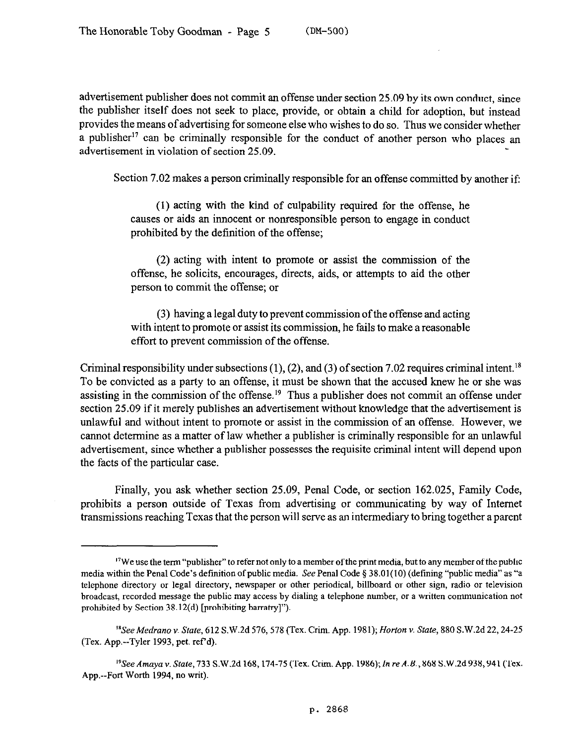advertisement publisher does not commit an offense under section 25.09 by its own conduct, since the publisher itself does not seek to place, provide, or obtain a child for adoption, but instead provides the means of advertising for someone else who wishes to do so. Thus we consider whether a publisher<sup>17</sup> can be criminally responsible for the conduct of another person who places an advertisement in violation of section 25.09.

Section 7.02 makes a person criminally responsible for an offense committed by another if:

(1) acting with the kind of culpability required for the offense, he causes or aids an innocent or nonresponsible person to engage in conduct prohibited by the definition of the offense;

(2) acting with intent to promote or assist the commission of the offense, he solicits, encourages, directs, aids, or attempts to aid the other person to commit the offense; or

(3) having a legal duty to prevent commission of the offense and acting with intent to promote or assist its commission, he fails to make a reasonable effort to prevent commission of the offense.

Criminal responsibility under subsections (1), (2), and (3) of section 7.02 requires criminal intent.<sup>18</sup> To be convicted as a party to an offense, it must be shown that the accused knew he or she was assisting in the commission of the offense.<sup>19</sup> Thus a publisher does not commit an offense under section 25.09 if it merely publishes an advertisement without knowledge that the advertisement is unlawful and without intent to promote or assist in the commission of an offense. However, we cannot determine as a matter of law whether a publisher is criminally responsible for an unlawful advertisement, since whether a publisher possesses the requisite criminal intent will depend upon the facts of the particular case.

Finally, you ask whether section 25.09, Penal Code, or section 162.025, Family Code, prohibits a person outside of Texas from advertising or communicating by way of Internet transmissions reaching Texas that the person will serve as an intermediary to bring together a parent

<sup>&</sup>lt;sup>17</sup>We use the term "publisher" to refer not only to a member of the print media, but to any member of the public media within the Penal Code's definition of public media. See Penal Code § 38.01(10) (defining "public media" as "a telephone directory or legal directory, newspaper or other periodical, billboard or other sign, radio or television broadcast, recorded message the public may access by dialing a telephone number, or a written communication not prohibited by Section 38.12(d) [prohibiting barratry]").

<sup>&#</sup>x27;%ee *Medrano* v. State, 612 S.W.2d 576,578 (Tex. Grim. App. 1981); *Horton Y. State, 880* S.W.2d 22,24-25 (Tex. App.--Tyler 1993, pet. ref d).

<sup>&</sup>lt;sup>19</sup>See Amaya v. State, 733 S.W.2d 168, 174-75 (Tex. Crim. App. 1986); In re A.B., 868 S.W.2d 938, 941 (Tex. App.--Fort Worth 1994, no writ).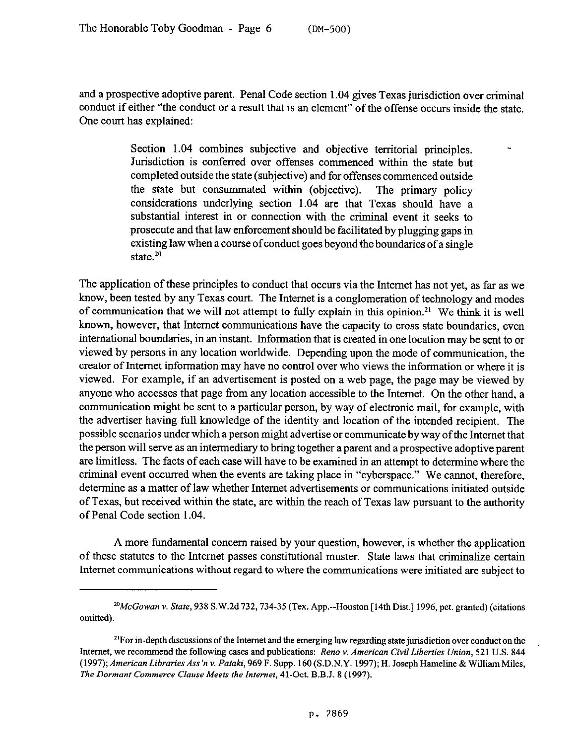and a prospective adoptive parent. Penal Code section 1.04 gives Texas jurisdiction over criminal conduct if either "the conduct or a result that is an element" of the offense occurs inside the state. One court has explained:

> Section 1.04 combines subjective and objective territorial principles. Jurisdiction is conferred over offenses commenced within the state but completed outside the state (subjective) and for offenses commenced outside the state but consummated within (objective). The primary policy considerations underlying section 1.04 are that Texas should have a substantial interest in or connection with the criminal event it seeks to prosecute and that law enforcement should be facilitated by plugging gaps in existing law when a course of conduct goes beyond the boundaries of a single state. $20$

-

The application of these principles to conduct that occurs via the Internet has not yet, as far as we know, been tested by any Texas court. The Internet is a conglomeration of technology and modes of communication that we will not attempt to fully explain in this opinion.<sup>21</sup> We think it is well known, however, that Internet communications have the capacity to cross state boundaries, even international boundaries, in an instant. Information that is created in one location may be sent to or viewed by persons in any location worldwide. Depending upon the mode of communication, the creator of Internet information may have no control over who views the information or where it is viewed. For example, if an advertisement is posted on a web page, the page may be viewed by anyone who accesses that page from any location accessible to the Internet. On the other hand, a communication might be sent to a particular person, by way of electronic mail, for example, with the advertiser having full knowledge of the identity and location of the intended recipient. The possible scenarios under which a person might advertise or communicate by way of the Internet that the person will serve as an intermediary to bring together a parent and a prospective adoptive parent are limitless. The facts of each case will have to be examined in an attempt to determine where the criminal event occurred when the events are taking place in "cyberspace." We cannot, therefore, determine as a matter of law whether Internet advertisements or communications initiated outside of Texas, but received within the state, are within the reach of Texas law pursuant to the authority of Penal Code section 1.04.

A more fundamental concern raised by your question, however, is whether the application of these statutes to the Internet passes constitutional muster. State laws that criminalize certain Internet communications without regard to where the communications were initiated are subject to

 $^{20}$ McGowan v. State, 938 S.W.2d 732, 734-35 (Tex. App.--Houston [14th Dist.] 1996, pet. granted) (citations omitted).

<sup>&</sup>lt;sup>21</sup>For in-depth discussions of the Internet and the emerging law regarding state jurisdiction over conduct on the Internet, we recommend the following cases and publications: *Rena v. American Civil Liberties Union,* 521 U.S. 844 (1997); American Libraries Ass'n v. Pataki, 969 F. Supp. 160 (S.D.N.Y. 1997); H. Joseph Hameline & William Miles, *The Dormant Commerce Clause Meets the Internet,* 41-Oct. B.B.J. 8 (1997).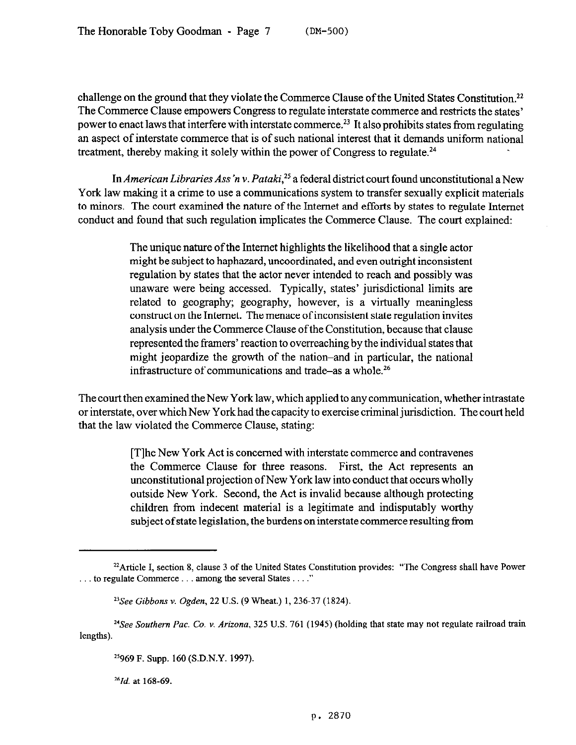challenge on the ground that they violate the Commerce Clause of the United States Constitution.<sup>22</sup> The Commerce Clause empowers Congress to regulate interstate commerce and restricts the states' power to enact laws that interfere with interstate commerce.<sup>23</sup> It also prohibits states from regulating an aspect of interstate commerce that is of such national interest that it demands uniform national treatment, thereby making it solely within the power of Congress to regulate.<sup>24</sup>

In *American Libraries Ass'n v. Pataki*,<sup>25</sup> a federal district court found unconstitutional a New York law making it a crime to use a communications system to transfer sexually explicit materials to minors. The court examined the nature of the Internet and efforts by states to regulate Internet conduct and found that such regulation implicates the Commerce Clause. The court explained:

> The unique nature of the Internet highlights the likelihood that a single actor might be subject to haphazard, uncoordinated, and even outright inconsistent regulation by states that the actor never intended to reach and possibly was unaware were being accessed. Typically, states' jurisdictional limits are related to geography; geography, however, is a virtually meaningless construct on the Internet. The menace of inconsistent state regulation invites analysis under the Commerce Clause of the Constitution, because that clause represented the framers' reaction to overreaching by the individual states that might jeopardize the growth of the nation-and in particular, the national infrastructure of communications and trade-as a whole.26

The court then examined the New York law, which applied to any communication, whether intrastate or interstate, over which New York had the capacity to exercise criminal jurisdiction. The court held that the law violated the Commerce Clause, stating:

> [T]he New York Act is concerned with interstate commerce and contravenes the Commerce Clause for three reasons. First, the Act represents an unconstitutional projection of New York law into conduct that occurs wholly outside New York. Second, the Act is invalid because although protecting children from indecent material is a legitimate and indisputably worthy subject of state legislation, the burdens on interstate commerce resulting from

*261d. at* 168-69.

<sup>&</sup>lt;sup>22</sup> Article I, section 8, clause 3 of the United States Constitution provides: "The Congress shall have Power  $\ldots$  to regulate Commerce  $\ldots$  among the several States  $\ldots$ ."

<sup>&</sup>lt;sup>23</sup>See Gibbons v. Ogden, 22 U.S. (9 Wheat.) 1, 236-37 (1824).

<sup>?</sup>See Southern *Pac.* Co. v. *Arizona,* 325 U.S. 761 (1945) (holding that state may not regulate railroad train lengths).

*I5969* F. Supp. 160 (S.D.N.Y. 1997).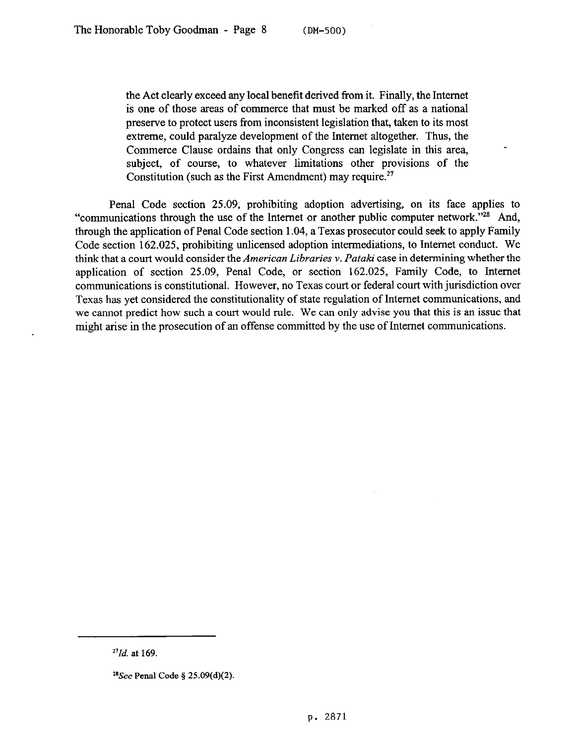the Act clearly exceed any local benefit derived from it. Finally, the Internet is one of those areas of commerce that must be marked off as a national preserve to protect users from inconsistent legislation that, taken to its most extreme, could paralyze development of the Internet altogether. Thus, the Commerce Clause ordains that only Congress can legislate in this area, subject, of course, to whatever limitations other provisions of the Constitution (such as the First Amendment) may require.<sup>27</sup>

Penal Code section 25.09, prohibiting adoption advertising, on its face applies to "communications through the use of the Internet or another public computer network."<sup>28</sup> And, through the application of Penal Code section 1.04, a Texas prosecutor could seek to apply Family Code section 162.025, prohibiting unlicensed adoption intermediations, to Internet conduct. We think that a court would consider the *American Libraries v. Pataki* case in determining whether the application of section 25.09, Penal Code, or section 162.025, Family Code, to Internet communications is constitutional. However, no Texas court or federal court with jurisdiction over Texas has yet considered the constitutionality of state regulation of Internet communications, and we cannot predict how such a court would rule. We can only advise you that this is an issue that might arise in the prosecution of an offense committed by the use of Internet communications.

*<sup>&</sup>quot;Id.* at 169.

 $^{28}$ See Penal Code § 25.09(d)(2).